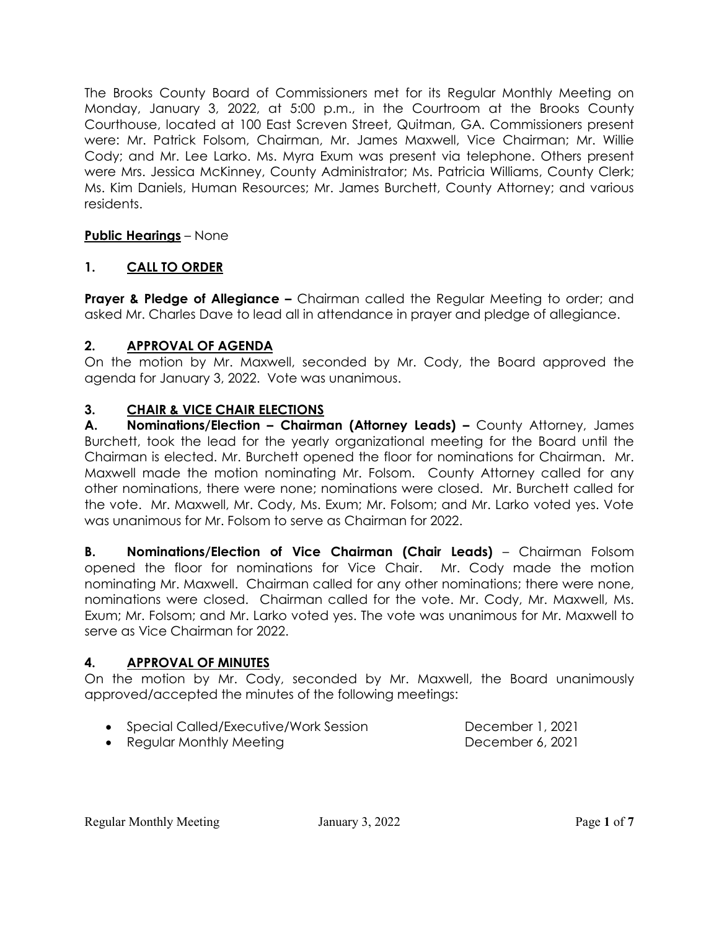The Brooks County Board of Commissioners met for its Regular Monthly Meeting on Monday, January 3, 2022, at 5:00 p.m., in the Courtroom at the Brooks County Courthouse, located at 100 East Screven Street, Quitman, GA. Commissioners present were: Mr. Patrick Folsom, Chairman, Mr. James Maxwell, Vice Chairman; Mr. Willie Cody; and Mr. Lee Larko. Ms. Myra Exum was present via telephone. Others present were Mrs. Jessica McKinney, County Administrator; Ms. Patricia Williams, County Clerk; Ms. Kim Daniels, Human Resources; Mr. James Burchett, County Attorney; and various residents.

## **Public Hearings** – None

## **1. CALL TO ORDER**

**Prayer & Pledge of Allegiance –** Chairman called the Regular Meeting to order; and asked Mr. Charles Dave to lead all in attendance in prayer and pledge of allegiance.

### **2. APPROVAL OF AGENDA**

On the motion by Mr. Maxwell, seconded by Mr. Cody, the Board approved the agenda for January 3, 2022. Vote was unanimous.

## **3. CHAIR & VICE CHAIR ELECTIONS**

**A. Nominations/Election – Chairman (Attorney Leads) –** County Attorney, James Burchett, took the lead for the yearly organizational meeting for the Board until the Chairman is elected. Mr. Burchett opened the floor for nominations for Chairman. Mr. Maxwell made the motion nominating Mr. Folsom. County Attorney called for any other nominations, there were none; nominations were closed. Mr. Burchett called for the vote. Mr. Maxwell, Mr. Cody, Ms. Exum; Mr. Folsom; and Mr. Larko voted yes. Vote was unanimous for Mr. Folsom to serve as Chairman for 2022.

**B. Nominations/Election of Vice Chairman (Chair Leads)** – Chairman Folsom opened the floor for nominations for Vice Chair. Mr. Cody made the motion nominating Mr. Maxwell. Chairman called for any other nominations; there were none, nominations were closed. Chairman called for the vote. Mr. Cody, Mr. Maxwell, Ms. Exum; Mr. Folsom; and Mr. Larko voted yes. The vote was unanimous for Mr. Maxwell to serve as Vice Chairman for 2022.

## **4. APPROVAL OF MINUTES**

On the motion by Mr. Cody, seconded by Mr. Maxwell, the Board unanimously approved/accepted the minutes of the following meetings:

• Special Called/Executive/Work Session December 1, 2021

• Regular Monthly Meeting **December 6, 2021**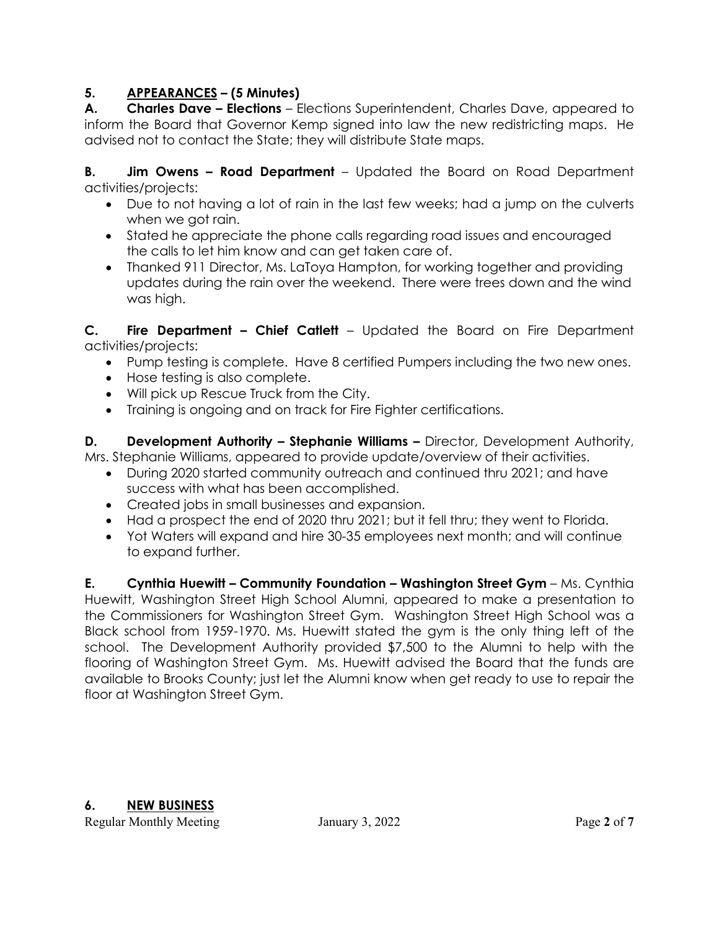## **5. APPEARANCES – (5 Minutes)**

**A. Charles Dave – Elections** – Elections Superintendent, Charles Dave, appeared to inform the Board that Governor Kemp signed into law the new redistricting maps. He advised not to contact the State; they will distribute State maps.

**B. Jim Owens – Road Department** – Updated the Board on Road Department activities/projects:

- Due to not having a lot of rain in the last few weeks; had a jump on the culverts when we got rain.
- Stated he appreciate the phone calls regarding road issues and encouraged the calls to let him know and can get taken care of.
- Thanked 911 Director, Ms. LaToya Hampton, for working together and providing updates during the rain over the weekend. There were trees down and the wind was high.

**C. Fire Department – Chief Catlett** – Updated the Board on Fire Department activities/projects:

- Pump testing is complete. Have 8 certified Pumpers including the two new ones.
- Hose testing is also complete.
- Will pick up Rescue Truck from the City.
- Training is ongoing and on track for Fire Fighter certifications.

**D.** Development Authority – Stephanie Williams – Director, Development Authority, Mrs. Stephanie Williams, appeared to provide update/overview of their activities.

- During 2020 started community outreach and continued thru 2021; and have success with what has been accomplished.
- Created jobs in small businesses and expansion.
- Had a prospect the end of 2020 thru 2021; but it fell thru; they went to Florida.
- Yot Waters will expand and hire 30-35 employees next month; and will continue to expand further.

**E. Cynthia Huewitt – Community Foundation – Washington Street Gym** – Ms. Cynthia Huewitt, Washington Street High School Alumni, appeared to make a presentation to the Commissioners for Washington Street Gym. Washington Street High School was a Black school from 1959-1970. Ms. Huewitt stated the gym is the only thing left of the school. The Development Authority provided \$7,500 to the Alumni to help with the flooring of Washington Street Gym. Ms. Huewitt advised the Board that the funds are available to Brooks County; just let the Alumni know when get ready to use to repair the floor at Washington Street Gym.

**6. NEW BUSINESS**

Regular Monthly Meeting **Figure 3, 2022** Page 2 of 7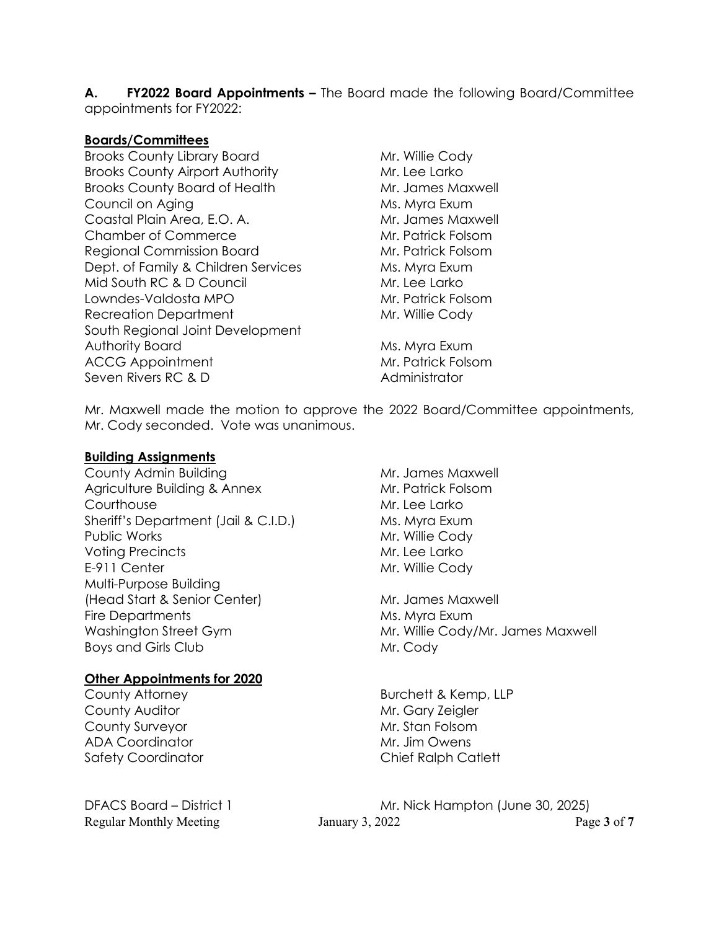**A. FY2022 Board Appointments –** The Board made the following Board/Committee appointments for FY2022:

#### **Boards/Committees**

Brooks County Library Board Mr. Willie Cody Brooks County Airport Authority Mr. Lee Larko Brooks County Board of Health Mr. James Maxwell Council on Aging Ms. Myra Exum Coastal Plain Area, E.O. A. Mr. James Maxwell Chamber of Commerce Mr. Patrick Folsom Regional Commission Board Mr. Patrick Folsom Dept. of Family & Children Services Ms. Myra Exum Mid South RC & D Council Mr. Lee Larko Lowndes-Valdosta MPO Mr. Patrick Folsom Recreation Department Mr. Willie Cody South Regional Joint Development Authority Board Ms. Myra Exum ACCG Appointment Mr. Patrick Folsom Seven Rivers RC & D Administrator

Mr. Maxwell made the motion to approve the 2022 Board/Committee appointments, Mr. Cody seconded. Vote was unanimous.

#### **Building Assignments**

County Admin Building Mr. James Maxwell Agriculture Building & Annex Mr. Patrick Folsom Courthouse Mr. Lee Larko Sheriff's Department (Jail & C.I.D.) Ms. Myra Exum Public Works **Mr. Willie Cody** Voting Precincts Mr. Lee Larko E-911 Center Mr. Willie Cody Multi-Purpose Building (Head Start & Senior Center) Mr. James Maxwell Fire Departments Ms. Myra Exum Boys and Girls Club Mr. Cody

#### **Other Appointments for 2020**

County Auditor **Mr. Gary Zeigler** Mr. Gary Zeigler County Surveyor **Mr. Stan Folsom** ADA Coordinator Mr. Jim Owens Safety Coordinator Chief Ralph Catlett

Washington Street Gym Mr. Willie Cody/Mr. James Maxwell

County Attorney **Burchett & Kemp, LLP** 

Regular Monthly Meeting January 3, 2022 Page **3** of **7** DFACS Board – District 1 Mr. Nick Hampton (June 30, 2025)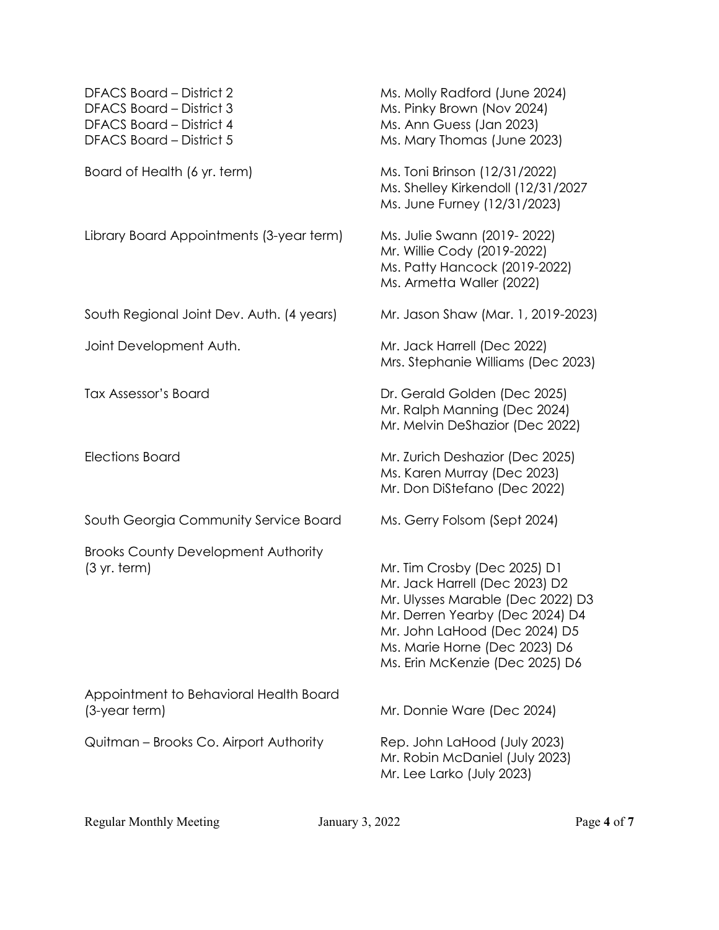| DFACS Board - District 2<br>DFACS Board - District 3<br><b>DFACS Board - District 4</b><br><b>DFACS Board - District 5</b> | Ms. Molly Radford (June 2024)<br>Ms. Pinky Brown (Nov 2024)<br>Ms. Ann Guess (Jan 2023)<br>Ms. Mary Thomas (June 2023)                                                                                                                      |  |
|----------------------------------------------------------------------------------------------------------------------------|---------------------------------------------------------------------------------------------------------------------------------------------------------------------------------------------------------------------------------------------|--|
| Board of Health (6 yr. term)                                                                                               | Ms. Toni Brinson (12/31/2022)<br>Ms. Shelley Kirkendoll (12/31/2027<br>Ms. June Furney (12/31/2023)                                                                                                                                         |  |
| Library Board Appointments (3-year term)                                                                                   | Ms. Julie Swann (2019-2022)<br>Mr. Willie Cody (2019-2022)<br>Ms. Patty Hancock (2019-2022)<br>Ms. Armetta Waller (2022)                                                                                                                    |  |
| South Regional Joint Dev. Auth. (4 years)                                                                                  | Mr. Jason Shaw (Mar. 1, 2019-2023)                                                                                                                                                                                                          |  |
| Joint Development Auth.                                                                                                    | Mr. Jack Harrell (Dec 2022)<br>Mrs. Stephanie Williams (Dec 2023)                                                                                                                                                                           |  |
| <b>Tax Assessor's Board</b>                                                                                                | Dr. Gerald Golden (Dec 2025)<br>Mr. Ralph Manning (Dec 2024)<br>Mr. Melvin DeShazior (Dec 2022)                                                                                                                                             |  |
| <b>Elections Board</b>                                                                                                     | Mr. Zurich Deshazior (Dec 2025)<br>Ms. Karen Murray (Dec 2023)<br>Mr. Don DiStefano (Dec 2022)                                                                                                                                              |  |
| South Georgia Community Service Board                                                                                      | Ms. Gerry Folsom (Sept 2024)                                                                                                                                                                                                                |  |
| <b>Brooks County Development Authority</b><br>$(3 \, yr. \, term)$                                                         | Mr. Tim Crosby (Dec 2025) D1<br>Mr. Jack Harrell (Dec 2023) D2<br>Mr. Ulysses Marable (Dec 2022) D3<br>Mr. Derren Yearby (Dec 2024) D4<br>Mr. John LaHood (Dec 2024) D5<br>Ms. Marie Horne (Dec 2023) D6<br>Ms. Erin McKenzie (Dec 2025) D6 |  |
| Appointment to Behavioral Health Board<br>$(3$ -year term $)$                                                              | Mr. Donnie Ware (Dec 2024)                                                                                                                                                                                                                  |  |
| Quitman – Brooks Co. Airport Authority                                                                                     | Rep. John LaHood (July 2023)<br>Mr. Robin McDaniel (July 2023)<br>Mr. Lee Larko (July 2023)                                                                                                                                                 |  |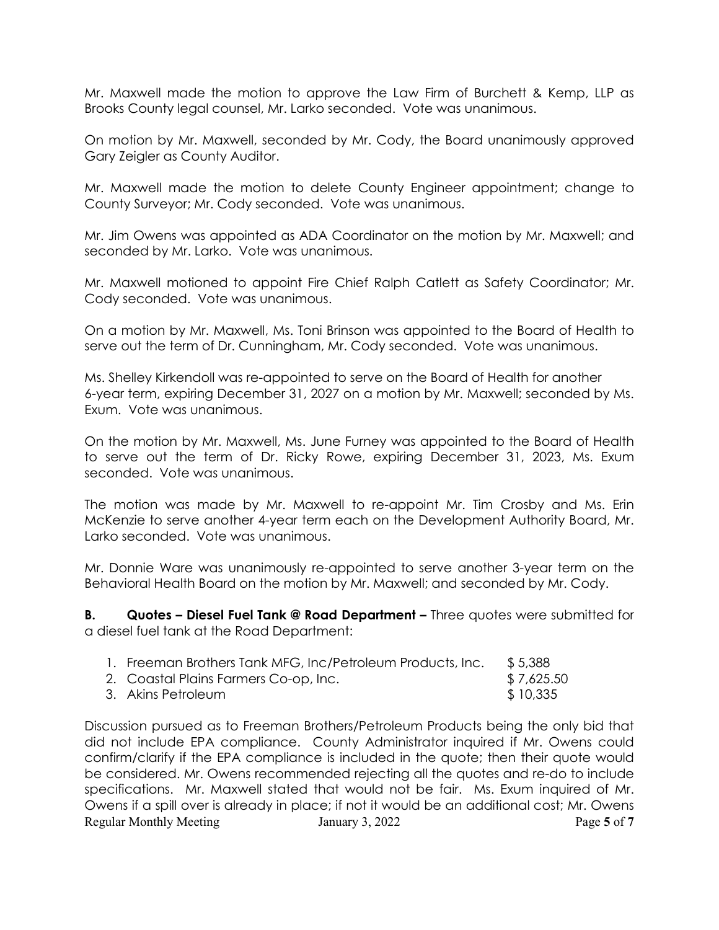Mr. Maxwell made the motion to approve the Law Firm of Burchett & Kemp, LLP as Brooks County legal counsel, Mr. Larko seconded. Vote was unanimous.

On motion by Mr. Maxwell, seconded by Mr. Cody, the Board unanimously approved Gary Zeigler as County Auditor.

Mr. Maxwell made the motion to delete County Engineer appointment; change to County Surveyor; Mr. Cody seconded. Vote was unanimous.

Mr. Jim Owens was appointed as ADA Coordinator on the motion by Mr. Maxwell; and seconded by Mr. Larko. Vote was unanimous.

Mr. Maxwell motioned to appoint Fire Chief Ralph Catlett as Safety Coordinator; Mr. Cody seconded. Vote was unanimous.

On a motion by Mr. Maxwell, Ms. Toni Brinson was appointed to the Board of Health to serve out the term of Dr. Cunningham, Mr. Cody seconded. Vote was unanimous.

Ms. Shelley Kirkendoll was re-appointed to serve on the Board of Health for another 6-year term, expiring December 31, 2027 on a motion by Mr. Maxwell; seconded by Ms. Exum. Vote was unanimous.

On the motion by Mr. Maxwell, Ms. June Furney was appointed to the Board of Health to serve out the term of Dr. Ricky Rowe, expiring December 31, 2023, Ms. Exum seconded. Vote was unanimous.

The motion was made by Mr. Maxwell to re-appoint Mr. Tim Crosby and Ms. Erin McKenzie to serve another 4-year term each on the Development Authority Board, Mr. Larko seconded. Vote was unanimous.

Mr. Donnie Ware was unanimously re-appointed to serve another 3-year term on the Behavioral Health Board on the motion by Mr. Maxwell; and seconded by Mr. Cody.

**B. Quotes – Diesel Fuel Tank @ Road Department –** Three quotes were submitted for a diesel fuel tank at the Road Department:

| 1. Freeman Brothers Tank MFG, Inc/Petroleum Products, Inc. | \$5,388    |
|------------------------------------------------------------|------------|
| 2. Coastal Plains Farmers Co-op, Inc.                      | \$7,625.50 |
| 3. Akins Petroleum                                         | \$10,335   |

Regular Monthly Meeting January 3, 2022 Page 5 of 7 Discussion pursued as to Freeman Brothers/Petroleum Products being the only bid that did not include EPA compliance. County Administrator inquired if Mr. Owens could confirm/clarify if the EPA compliance is included in the quote; then their quote would be considered. Mr. Owens recommended rejecting all the quotes and re-do to include specifications. Mr. Maxwell stated that would not be fair. Ms. Exum inquired of Mr. Owens if a spill over is already in place; if not it would be an additional cost; Mr. Owens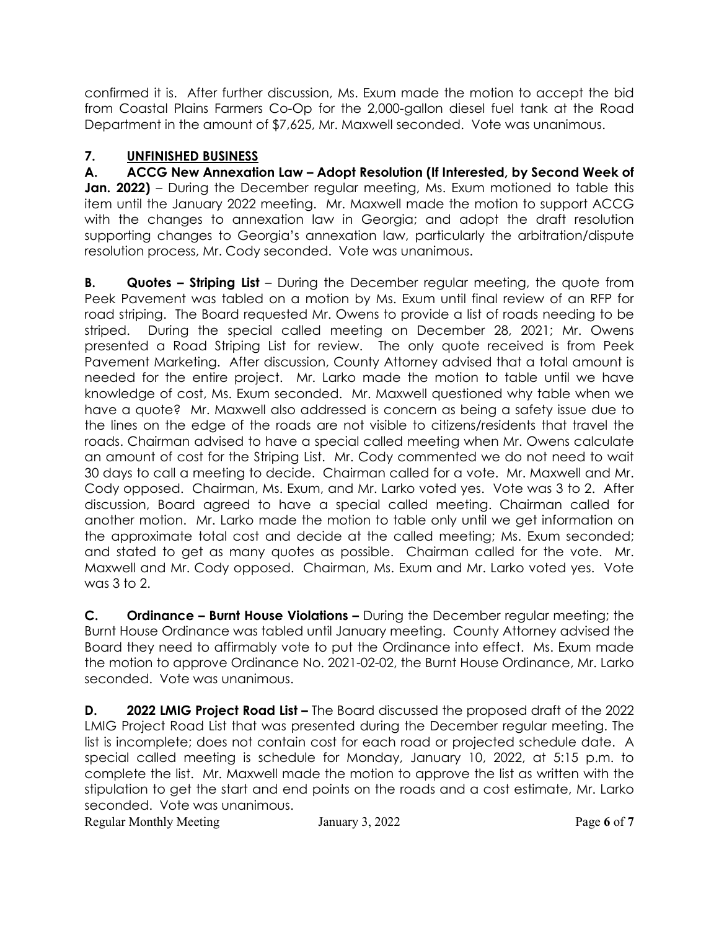confirmed it is. After further discussion, Ms. Exum made the motion to accept the bid from Coastal Plains Farmers Co-Op for the 2,000-gallon diesel fuel tank at the Road Department in the amount of \$7,625, Mr. Maxwell seconded. Vote was unanimous.

# **7. UNFINISHED BUSINESS**

**A. ACCG New Annexation Law – Adopt Resolution (If Interested, by Second Week of Jan. 2022)** – During the December regular meeting, Ms. Exum motioned to table this item until the January 2022 meeting. Mr. Maxwell made the motion to support ACCG with the changes to annexation law in Georgia; and adopt the draft resolution supporting changes to Georgia's annexation law, particularly the arbitration/dispute resolution process, Mr. Cody seconded. Vote was unanimous.

**B. Quotes – Striping List** – During the December regular meeting, the quote from Peek Pavement was tabled on a motion by Ms. Exum until final review of an RFP for road striping. The Board requested Mr. Owens to provide a list of roads needing to be striped. During the special called meeting on December 28, 2021; Mr. Owens presented a Road Striping List for review. The only quote received is from Peek Pavement Marketing. After discussion, County Attorney advised that a total amount is needed for the entire project. Mr. Larko made the motion to table until we have knowledge of cost, Ms. Exum seconded. Mr. Maxwell questioned why table when we have a quote? Mr. Maxwell also addressed is concern as being a safety issue due to the lines on the edge of the roads are not visible to citizens/residents that travel the roads. Chairman advised to have a special called meeting when Mr. Owens calculate an amount of cost for the Striping List. Mr. Cody commented we do not need to wait 30 days to call a meeting to decide. Chairman called for a vote. Mr. Maxwell and Mr. Cody opposed. Chairman, Ms. Exum, and Mr. Larko voted yes. Vote was 3 to 2. After discussion, Board agreed to have a special called meeting. Chairman called for another motion. Mr. Larko made the motion to table only until we get information on the approximate total cost and decide at the called meeting; Ms. Exum seconded; and stated to get as many quotes as possible. Chairman called for the vote. Mr. Maxwell and Mr. Cody opposed. Chairman, Ms. Exum and Mr. Larko voted yes. Vote was 3 to 2.

**C. Ordinance – Burnt House Violations –** During the December regular meeting; the Burnt House Ordinance was tabled until January meeting. County Attorney advised the Board they need to affirmably vote to put the Ordinance into effect. Ms. Exum made the motion to approve Ordinance No. 2021-02-02, the Burnt House Ordinance, Mr. Larko seconded. Vote was unanimous.

**D. 2022 LMIG Project Road List –** The Board discussed the proposed draft of the 2022 LMIG Project Road List that was presented during the December regular meeting. The list is incomplete; does not contain cost for each road or projected schedule date. A special called meeting is schedule for Monday, January 10, 2022, at 5:15 p.m. to complete the list. Mr. Maxwell made the motion to approve the list as written with the stipulation to get the start and end points on the roads and a cost estimate, Mr. Larko seconded. Vote was unanimous.

Regular Monthly Meeting January 3, 2022 Page **6** of **7**